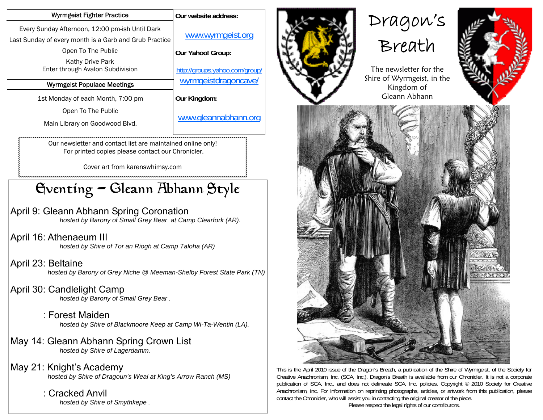| <b>Wyrmgeist Fighter Practice</b>                                                                         | Our website address:           |
|-----------------------------------------------------------------------------------------------------------|--------------------------------|
| Every Sunday Afternoon, 12:00 pm-ish Until Dark<br>Last Sunday of every month is a Garb and Grub Practice | www.wyrmgeist.org              |
| Open To The Public                                                                                        | Our Yahoo! Group:              |
| Kathy Drive Park<br>Enter through Avalon Subdivision                                                      | http://groups.yahoo.com/group/ |
| <b>Wyrmgeist Populace Meetings</b>                                                                        | wyrmgeistdragoncave/           |
| 1st Monday of each Month, 7:00 pm                                                                         | Our Kingdom:                   |
|                                                                                                           |                                |
| Open To The Public                                                                                        |                                |
| Main Library on Goodwood Blvd.                                                                            | www.gleannabhann.org           |

For printed copies please contact our Chronicler.

Cover art from karenswhimsy.com

## Eventing - Gleann Abhann Style

April 9: Gleann Abhann Spring Coronation

 *hosted by Barony of Small Grey Bear at Camp Clearfork (AR).* 

April 16: Athenaeum III  *hosted by Shire of Tor an Riogh at Camp Taloha (AR)* 

April 23: Beltaine  *hosted by Barony of Grey Niche @ Meeman-Shelby Forest State Park (TN)* 

April 30: Candlelight Camp  *hosted by Barony of Small Grey Bear .* 

> : Forest Maiden  *hosted by Shire of Blackmoore Keep at Camp Wi-Ta-Wentin (LA).*

- May 14: Gleann Abhann Spring Crown List  *hosted by Shire of Lagerdamm.*
- May 21: Knight's Academy  *hosted by Shire of Dragoun's Weal at King's Arrow Ranch (MS)* 
	- : Cracked Anvil  *hosted by Shire of Smythkepe .*



# Dragon's









This is the April 2010 issue of the Dragon's Breath, a publication of the Shire of Wyrmgeist, of the Society for Creative Anachronism, Inc. (SCA, Inc.). Dragon's Breath is available from our Chronicler. It is not a corporate publication of SCA, Inc., and does not delineate SCA, Inc. policies. Copyright © 2010 Society for Creative Anachronism, Inc. For information on reprinting photographs, articles, or artwork from this publication, please contact the Chronicler, who will assist you in contacting the original creator of the piece.

Please respect the legal rights of our contributors.